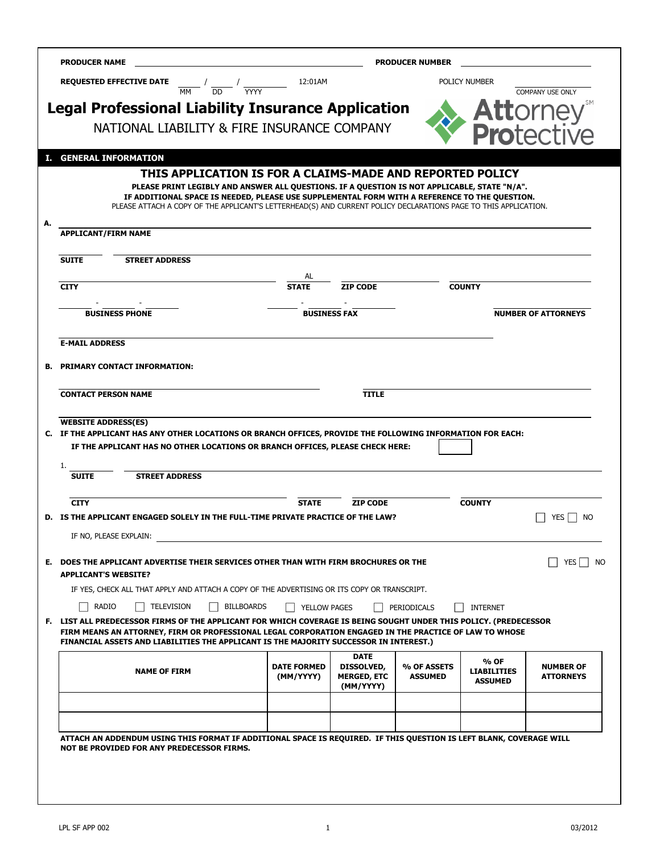| <b>REQUESTED EFFECTIVE DATE</b>                                                                                                                                                                                                                                                                                       | 12:01AM                                                                                                                                                                                                          |                                  | <b>PRODUCER NUMBER</b>        | POLICY NUMBER      |                                      |
|-----------------------------------------------------------------------------------------------------------------------------------------------------------------------------------------------------------------------------------------------------------------------------------------------------------------------|------------------------------------------------------------------------------------------------------------------------------------------------------------------------------------------------------------------|----------------------------------|-------------------------------|--------------------|--------------------------------------|
|                                                                                                                                                                                                                                                                                                                       | $\frac{1}{\text{MM}}$ / $\frac{1}{\text{DD}}$ / $\frac{1}{\text{YYYY}}$                                                                                                                                          |                                  |                               |                    | <b>COMPANY USE ONLY</b>              |
| <b>Legal Professional Liability Insurance Application</b>                                                                                                                                                                                                                                                             |                                                                                                                                                                                                                  |                                  |                               |                    |                                      |
|                                                                                                                                                                                                                                                                                                                       | NATIONAL LIABILITY & FIRE INSURANCE COMPANY                                                                                                                                                                      |                                  |                               |                    | <b>Protective</b>                    |
|                                                                                                                                                                                                                                                                                                                       |                                                                                                                                                                                                                  |                                  |                               |                    |                                      |
| I. GENERAL INFORMATION                                                                                                                                                                                                                                                                                                | THIS APPLICATION IS FOR A CLAIMS-MADE AND REPORTED POLICY                                                                                                                                                        |                                  |                               |                    |                                      |
|                                                                                                                                                                                                                                                                                                                       | PLEASE PRINT LEGIBLY AND ANSWER ALL QUESTIONS. IF A QUESTION IS NOT APPLICABLE, STATE "N/A".                                                                                                                     |                                  |                               |                    |                                      |
|                                                                                                                                                                                                                                                                                                                       | IF ADDITIONAL SPACE IS NEEDED, PLEASE USE SUPPLEMENTAL FORM WITH A REFERENCE TO THE QUESTION.<br>PLEASE ATTACH A COPY OF THE APPLICANT'S LETTERHEAD(S) AND CURRENT POLICY DECLARATIONS PAGE TO THIS APPLICATION. |                                  |                               |                    |                                      |
|                                                                                                                                                                                                                                                                                                                       |                                                                                                                                                                                                                  |                                  |                               |                    |                                      |
| <b>APPLICANT/FIRM NAME</b>                                                                                                                                                                                                                                                                                            |                                                                                                                                                                                                                  |                                  |                               |                    |                                      |
| <b>SUITE</b><br><b>STREET ADDRESS</b>                                                                                                                                                                                                                                                                                 |                                                                                                                                                                                                                  |                                  |                               |                    |                                      |
|                                                                                                                                                                                                                                                                                                                       | AL                                                                                                                                                                                                               |                                  |                               |                    |                                      |
| <b>CITY</b>                                                                                                                                                                                                                                                                                                           | <b>STATE</b>                                                                                                                                                                                                     | <b>ZIP CODE</b>                  |                               | <b>COUNTY</b>      |                                      |
| <b>BUSINESS PHONE</b>                                                                                                                                                                                                                                                                                                 |                                                                                                                                                                                                                  | <b>BUSINESS FAX</b>              |                               |                    | <b>NUMBER OF ATTORNEYS</b>           |
|                                                                                                                                                                                                                                                                                                                       |                                                                                                                                                                                                                  |                                  |                               |                    |                                      |
| <b>E-MAIL ADDRESS</b>                                                                                                                                                                                                                                                                                                 |                                                                                                                                                                                                                  |                                  |                               |                    |                                      |
| <b>PRIMARY CONTACT INFORMATION:</b>                                                                                                                                                                                                                                                                                   |                                                                                                                                                                                                                  |                                  |                               |                    |                                      |
|                                                                                                                                                                                                                                                                                                                       |                                                                                                                                                                                                                  |                                  |                               |                    |                                      |
|                                                                                                                                                                                                                                                                                                                       |                                                                                                                                                                                                                  |                                  |                               |                    |                                      |
| IF THE APPLICANT HAS NO OTHER LOCATIONS OR BRANCH OFFICES, PLEASE CHECK HERE:                                                                                                                                                                                                                                         |                                                                                                                                                                                                                  | <b>TITLE</b>                     |                               |                    |                                      |
|                                                                                                                                                                                                                                                                                                                       |                                                                                                                                                                                                                  |                                  |                               |                    |                                      |
| <b>SUITE</b><br><b>STREET ADDRESS</b>                                                                                                                                                                                                                                                                                 |                                                                                                                                                                                                                  |                                  |                               |                    |                                      |
| <b>CITY</b>                                                                                                                                                                                                                                                                                                           | <b>STATE</b>                                                                                                                                                                                                     | <b>ZIP CODE</b>                  |                               | <b>COUNTY</b>      |                                      |
| <b>CONTACT PERSON NAME</b><br><b>WEBSITE ADDRESS(ES)</b><br>C. IF THE APPLICANT HAS ANY OTHER LOCATIONS OR BRANCH OFFICES, PROVIDE THE FOLLOWING INFORMATION FOR EACH:<br>D. IS THE APPLICANT ENGAGED SOLELY IN THE FULL-TIME PRIVATE PRACTICE OF THE LAW?                                                            |                                                                                                                                                                                                                  |                                  |                               |                    | YES                                  |
| IF NO, PLEASE EXPLAIN:                                                                                                                                                                                                                                                                                                |                                                                                                                                                                                                                  |                                  |                               |                    | NO                                   |
|                                                                                                                                                                                                                                                                                                                       |                                                                                                                                                                                                                  |                                  |                               |                    |                                      |
|                                                                                                                                                                                                                                                                                                                       |                                                                                                                                                                                                                  |                                  |                               |                    |                                      |
| E. DOES THE APPLICANT ADVERTISE THEIR SERVICES OTHER THAN WITH FIRM BROCHURES OR THE<br><b>APPLICANT'S WEBSITE?</b><br>IF YES, CHECK ALL THAT APPLY AND ATTACH A COPY OF THE ADVERTISING OR ITS COPY OR TRANSCRIPT.                                                                                                   |                                                                                                                                                                                                                  |                                  |                               |                    |                                      |
| RADIO<br><b>TELEVISION</b>                                                                                                                                                                                                                                                                                            | <b>BILLBOARDS</b>                                                                                                                                                                                                | <b>YELLOW PAGES</b>              | PERIODICALS                   | <b>INTERNET</b>    | YES                                  |
|                                                                                                                                                                                                                                                                                                                       |                                                                                                                                                                                                                  |                                  |                               |                    |                                      |
|                                                                                                                                                                                                                                                                                                                       |                                                                                                                                                                                                                  | DATE                             |                               | % OF               |                                      |
| <b>NAME OF FIRM</b>                                                                                                                                                                                                                                                                                                   | <b>DATE FORMED</b><br>(MM/YYYY)                                                                                                                                                                                  | DISSOLVED,<br><b>MERGED, ETC</b> | % OF ASSETS<br><b>ASSUMED</b> | <b>LIABILITIES</b> | <b>NUMBER OF</b><br><b>ATTORNEYS</b> |
|                                                                                                                                                                                                                                                                                                                       |                                                                                                                                                                                                                  | (MM/YYYY)                        |                               | <b>ASSUMED</b>     |                                      |
|                                                                                                                                                                                                                                                                                                                       |                                                                                                                                                                                                                  |                                  |                               |                    |                                      |
| F. LIST ALL PREDECESSOR FIRMS OF THE APPLICANT FOR WHICH COVERAGE IS BEING SOUGHT UNDER THIS POLICY. (PREDECESSOR<br>FIRM MEANS AN ATTORNEY, FIRM OR PROFESSIONAL LEGAL CORPORATION ENGAGED IN THE PRACTICE OF LAW TO WHOSE<br>FINANCIAL ASSETS AND LIABILITIES THE APPLICANT IS THE MAJORITY SUCCESSOR IN INTEREST.) |                                                                                                                                                                                                                  |                                  |                               |                    |                                      |
| ATTACH AN ADDENDUM USING THIS FORMAT IF ADDITIONAL SPACE IS REQUIRED. IF THIS QUESTION IS LEFT BLANK, COVERAGE WILL<br>NOT BE PROVIDED FOR ANY PREDECESSOR FIRMS.                                                                                                                                                     |                                                                                                                                                                                                                  |                                  |                               |                    |                                      |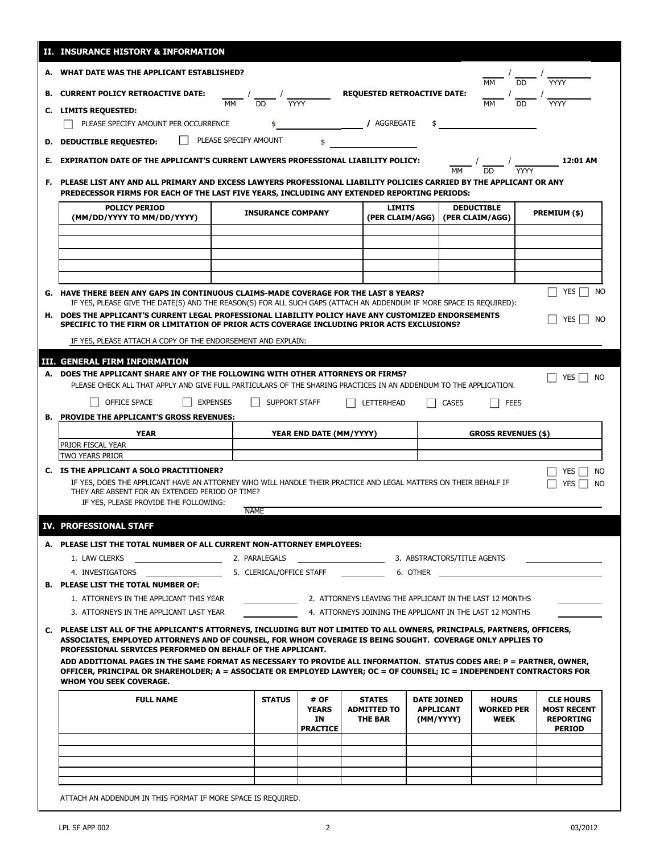|    | II. INSURANCE HISTORY & INFORMATION                                                                                                                                                                                                                                                                    |                                   |                                                                                                                                                                                                                       |                                                       |                                                     |                                                                                                                      |                                                                             |  |
|----|--------------------------------------------------------------------------------------------------------------------------------------------------------------------------------------------------------------------------------------------------------------------------------------------------------|-----------------------------------|-----------------------------------------------------------------------------------------------------------------------------------------------------------------------------------------------------------------------|-------------------------------------------------------|-----------------------------------------------------|----------------------------------------------------------------------------------------------------------------------|-----------------------------------------------------------------------------|--|
|    | A. WHAT DATE WAS THE APPLICANT ESTABLISHED?                                                                                                                                                                                                                                                            |                                   |                                                                                                                                                                                                                       |                                                       |                                                     | <b>MM</b>                                                                                                            | $\frac{1}{\text{DD}}$ $\frac{1}{\text{MYY}}$                                |  |
|    | <b>B. CURRENT POLICY RETROACTIVE DATE:</b>                                                                                                                                                                                                                                                             |                                   |                                                                                                                                                                                                                       | <b>REQUESTED RETROACTIVE DATE:</b>                    |                                                     |                                                                                                                      |                                                                             |  |
|    | C. LIMITS REQUESTED:                                                                                                                                                                                                                                                                                   | $\frac{1}{MN}$ / $\frac{1}{DD}$ / | $\overline{Y}$                                                                                                                                                                                                        |                                                       |                                                     | $\frac{1}{MN}$ $\frac{1}{DD}$                                                                                        |                                                                             |  |
|    | PLEASE SPECIFY AMOUNT PER OCCURRENCE                                                                                                                                                                                                                                                                   |                                   |                                                                                                                                                                                                                       | / AGGREGATE                                           |                                                     |                                                                                                                      |                                                                             |  |
|    |                                                                                                                                                                                                                                                                                                        |                                   |                                                                                                                                                                                                                       |                                                       |                                                     |                                                                                                                      |                                                                             |  |
|    | <b>D. DEDUCTIBLE REQUESTED:</b>                                                                                                                                                                                                                                                                        | PLEASE SPECIFY AMOUNT             |                                                                                                                                                                                                                       |                                                       |                                                     |                                                                                                                      |                                                                             |  |
| Е. | <b>EXPIRATION DATE OF THE APPLICANT'S CURRENT LAWYERS PROFESSIONAL LIABILITY POLICY:</b>                                                                                                                                                                                                               |                                   |                                                                                                                                                                                                                       |                                                       |                                                     |                                                                                                                      | $12:01$ AM                                                                  |  |
|    |                                                                                                                                                                                                                                                                                                        |                                   | F. PLEASE LIST ANY AND ALL PRIMARY AND EXCESS LAWYERS PROFESSIONAL LIABILITY POLICIES CARRIED BY THE APPLICANT OR ANY<br>PREDECESSOR FIRMS FOR EACH OF THE LAST FIVE YEARS, INCLUDING ANY EXTENDED REPORTING PERIODS: |                                                       |                                                     |                                                                                                                      |                                                                             |  |
|    | <b>POLICY PERIOD</b><br>(MM/DD/YYYY TO MM/DD/YYYY)                                                                                                                                                                                                                                                     | <b>INSURANCE COMPANY</b>          |                                                                                                                                                                                                                       | <b>LIMITS</b><br>(PER CLAIM/AGG)                      |                                                     | <b>DEDUCTIBLE</b><br>(PER CLAIM/AGG)                                                                                 | PREMIUM (\$)                                                                |  |
|    |                                                                                                                                                                                                                                                                                                        |                                   |                                                                                                                                                                                                                       |                                                       |                                                     |                                                                                                                      |                                                                             |  |
|    |                                                                                                                                                                                                                                                                                                        |                                   |                                                                                                                                                                                                                       |                                                       |                                                     |                                                                                                                      |                                                                             |  |
|    |                                                                                                                                                                                                                                                                                                        |                                   |                                                                                                                                                                                                                       |                                                       |                                                     |                                                                                                                      |                                                                             |  |
|    |                                                                                                                                                                                                                                                                                                        |                                   |                                                                                                                                                                                                                       |                                                       |                                                     |                                                                                                                      |                                                                             |  |
|    | G. HAVE THERE BEEN ANY GAPS IN CONTINUOUS CLAIMS-MADE COVERAGE FOR THE LAST 8 YEARS?                                                                                                                                                                                                                   |                                   |                                                                                                                                                                                                                       |                                                       |                                                     |                                                                                                                      | <b>YES</b><br>NO                                                            |  |
|    | IF YES, PLEASE GIVE THE DATE(S) AND THE REASON(S) FOR ALL SUCH GAPS (ATTACH AN ADDENDUM IF MORE SPACE IS REQUIRED):                                                                                                                                                                                    |                                   |                                                                                                                                                                                                                       |                                                       |                                                     |                                                                                                                      |                                                                             |  |
|    | H. DOES THE APPLICANT'S CURRENT LEGAL PROFESSIONAL LIABILITY POLICY HAVE ANY CUSTOMIZED ENDORSEMENTS<br>SPECIFIC TO THE FIRM OR LIMITATION OF PRIOR ACTS COVERAGE INCLUDING PRIOR ACTS EXCLUSIONS?                                                                                                     |                                   |                                                                                                                                                                                                                       |                                                       |                                                     |                                                                                                                      | <b>NO</b><br><b>YES</b>                                                     |  |
|    | IF YES, PLEASE ATTACH A COPY OF THE ENDORSEMENT AND EXPLAIN:                                                                                                                                                                                                                                           |                                   |                                                                                                                                                                                                                       |                                                       |                                                     |                                                                                                                      |                                                                             |  |
|    |                                                                                                                                                                                                                                                                                                        |                                   |                                                                                                                                                                                                                       |                                                       |                                                     |                                                                                                                      |                                                                             |  |
|    | III. GENERAL FIRM INFORMATION<br>A. DOES THE APPLICANT SHARE ANY OF THE FOLLOWING WITH OTHER ATTORNEYS OR FIRMS?                                                                                                                                                                                       |                                   |                                                                                                                                                                                                                       |                                                       |                                                     |                                                                                                                      |                                                                             |  |
|    | PLEASE CHECK ALL THAT APPLY AND GIVE FULL PARTICULARS OF THE SHARING PRACTICES IN AN ADDENDUM TO THE APPLICATION.                                                                                                                                                                                      |                                   |                                                                                                                                                                                                                       |                                                       |                                                     |                                                                                                                      | YES  <br><b>NO</b>                                                          |  |
|    | OFFICE SPACE<br><b>EXPENSES</b>                                                                                                                                                                                                                                                                        | SUPPORT STAFF                     |                                                                                                                                                                                                                       | LETTERHEAD                                            | <b>CASES</b>                                        | <b>FEES</b>                                                                                                          |                                                                             |  |
|    | <b>B. PROVIDE THE APPLICANT'S GROSS REVENUES:</b>                                                                                                                                                                                                                                                      |                                   |                                                                                                                                                                                                                       |                                                       |                                                     |                                                                                                                      |                                                                             |  |
|    | <b>YEAR</b>                                                                                                                                                                                                                                                                                            |                                   | YEAR END DATE (MM/YYYY)                                                                                                                                                                                               |                                                       |                                                     | <b>GROSS REVENUES (\$)</b>                                                                                           |                                                                             |  |
|    | PRIOR FISCAL YEAR                                                                                                                                                                                                                                                                                      |                                   |                                                                                                                                                                                                                       |                                                       |                                                     |                                                                                                                      |                                                                             |  |
|    | <b>TWO YEARS PRIOR</b>                                                                                                                                                                                                                                                                                 |                                   |                                                                                                                                                                                                                       |                                                       |                                                     |                                                                                                                      |                                                                             |  |
|    |                                                                                                                                                                                                                                                                                                        |                                   |                                                                                                                                                                                                                       |                                                       |                                                     |                                                                                                                      | <b>YES</b><br><b>NO</b>                                                     |  |
|    | C. IS THE APPLICANT A SOLO PRACTITIONER?<br>IF YES, DOES THE APPLICANT HAVE AN ATTORNEY WHO WILL HANDLE THEIR PRACTICE AND LEGAL MATTERS ON THEIR BEHALF IF<br>THEY ARE ABSENT FOR AN EXTENDED PERIOD OF TIME?                                                                                         |                                   |                                                                                                                                                                                                                       |                                                       |                                                     |                                                                                                                      | YES<br>NO                                                                   |  |
|    | IF YES, PLEASE PROVIDE THE FOLLOWING:                                                                                                                                                                                                                                                                  |                                   |                                                                                                                                                                                                                       |                                                       |                                                     |                                                                                                                      |                                                                             |  |
|    |                                                                                                                                                                                                                                                                                                        | <b>NAME</b>                       |                                                                                                                                                                                                                       |                                                       |                                                     |                                                                                                                      |                                                                             |  |
|    | IV. PROFESSIONAL STAFF<br>A. PLEASE LIST THE TOTAL NUMBER OF ALL CURRENT NON-ATTORNEY EMPLOYEES:                                                                                                                                                                                                       |                                   |                                                                                                                                                                                                                       |                                                       |                                                     |                                                                                                                      |                                                                             |  |
|    | 1. LAW CLERKS                                                                                                                                                                                                                                                                                          |                                   |                                                                                                                                                                                                                       |                                                       |                                                     |                                                                                                                      |                                                                             |  |
|    | 2. PARALEGALS<br>4. INVESTIGATORS                                                                                                                                                                                                                                                                      |                                   |                                                                                                                                                                                                                       | 3. ABSTRACTORS/TITLE AGENTS                           |                                                     |                                                                                                                      |                                                                             |  |
|    | <b>B. PLEASE LIST THE TOTAL NUMBER OF:</b>                                                                                                                                                                                                                                                             | 5. CLERICAL/OFFICE STAFF          |                                                                                                                                                                                                                       | <b>COLLEGE 1</b> 6. OTHER                             |                                                     |                                                                                                                      |                                                                             |  |
|    | 1. ATTORNEYS IN THE APPLICANT THIS YEAR                                                                                                                                                                                                                                                                |                                   |                                                                                                                                                                                                                       |                                                       |                                                     |                                                                                                                      |                                                                             |  |
|    | 3. ATTORNEYS IN THE APPLICANT LAST YEAR                                                                                                                                                                                                                                                                |                                   |                                                                                                                                                                                                                       |                                                       |                                                     | 2. ATTORNEYS LEAVING THE APPLICANT IN THE LAST 12 MONTHS<br>4. ATTORNEYS JOINING THE APPLICANT IN THE LAST 12 MONTHS |                                                                             |  |
|    | C. PLEASE LIST ALL OF THE APPLICANT'S ATTORNEYS, INCLUDING BUT NOT LIMITED TO ALL OWNERS, PRINCIPALS, PARTNERS, OFFICERS,<br>ASSOCIATES, EMPLOYED ATTORNEYS AND OF COUNSEL, FOR WHOM COVERAGE IS BEING SOUGHT. COVERAGE ONLY APPLIES TO<br>PROFESSIONAL SERVICES PERFORMED ON BEHALF OF THE APPLICANT. |                                   |                                                                                                                                                                                                                       |                                                       |                                                     |                                                                                                                      |                                                                             |  |
|    | ADD ADDITIONAL PAGES IN THE SAME FORMAT AS NECESSARY TO PROVIDE ALL INFORMATION. STATUS CODES ARE: P = PARTNER, OWNER,<br>OFFICER, PRINCIPAL OR SHAREHOLDER; A = ASSOCIATE OR EMPLOYED LAWYER; OC = OF COUNSEL; IC = INDEPENDENT CONTRACTORS FOR<br><b>WHOM YOU SEEK COVERAGE.</b>                     |                                   |                                                                                                                                                                                                                       |                                                       |                                                     |                                                                                                                      |                                                                             |  |
|    | <b>FULL NAME</b>                                                                                                                                                                                                                                                                                       | <b>STATUS</b>                     | # OF<br><b>YEARS</b><br>IN<br><b>PRACTICE</b>                                                                                                                                                                         | <b>STATES</b><br><b>ADMITTED TO</b><br><b>THE BAR</b> | <b>DATE JOINED</b><br><b>APPLICANT</b><br>(MM/YYYY) | <b>HOURS</b><br><b>WORKED PER</b><br>WEEK                                                                            | <b>CLE HOURS</b><br><b>MOST RECENT</b><br><b>REPORTING</b><br><b>PERIOD</b> |  |
|    |                                                                                                                                                                                                                                                                                                        |                                   |                                                                                                                                                                                                                       |                                                       |                                                     |                                                                                                                      |                                                                             |  |
|    |                                                                                                                                                                                                                                                                                                        |                                   |                                                                                                                                                                                                                       |                                                       |                                                     |                                                                                                                      |                                                                             |  |
|    |                                                                                                                                                                                                                                                                                                        |                                   |                                                                                                                                                                                                                       |                                                       |                                                     |                                                                                                                      |                                                                             |  |
|    |                                                                                                                                                                                                                                                                                                        |                                   |                                                                                                                                                                                                                       |                                                       |                                                     |                                                                                                                      |                                                                             |  |

 $\mathbf l$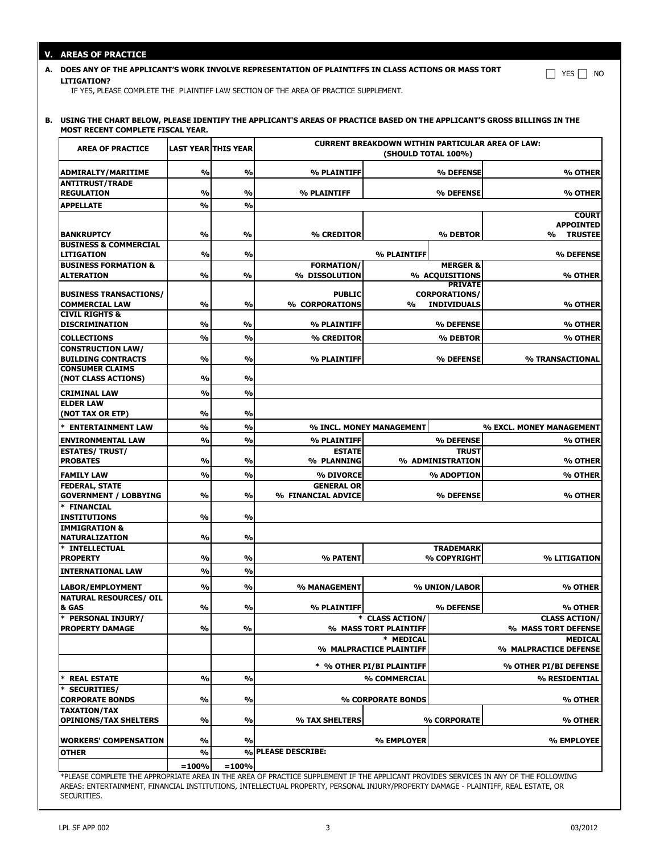## **V. AREAS OF PRACTICE**

## **A. DOES ANY OF THE APPLICANT'S WORK INVOLVE REPRESENTATION OF PLAINTIFFS IN CLASS ACTIONS OR MASS TORT LITIGATION?**

IF YES, PLEASE COMPLETE THE PLAINTIFF LAW SECTION OF THE AREA OF PRACTICE SUPPLEMENT.

## **B. USING THE CHART BELOW, PLEASE IDENTIFY THE APPLICANT'S AREAS OF PRACTICE BASED ON THE APPLICANT'S GROSS BILLINGS IN THE MOST RECENT COMPLETE FISCAL YEAR.**

| <b>AREA OF PRACTICE</b>                             | <b>LAST YEAR THIS YEAR</b> |               | <b>CURRENT BREAKDOWN WITHIN PARTICULAR AREA OF LAW:</b><br>(SHOULD TOTAL 100%)                                                      |                                          |                      |                                             |
|-----------------------------------------------------|----------------------------|---------------|-------------------------------------------------------------------------------------------------------------------------------------|------------------------------------------|----------------------|---------------------------------------------|
| ADMIRALTY/MARITIME                                  | %                          | %             | % PLAINTIFF                                                                                                                         |                                          | % DEFENSE            | % OTHER                                     |
| <b>ANTITRUST/TRADE</b>                              |                            |               |                                                                                                                                     |                                          |                      |                                             |
| <b>REGULATION</b>                                   | %                          | %             | % PLAINTIFF                                                                                                                         |                                          | % DEFENSE            | % OTHER                                     |
| <b>APPELLATE</b>                                    | $\frac{0}{0}$              | %             |                                                                                                                                     |                                          |                      | <b>COURT</b>                                |
|                                                     |                            |               |                                                                                                                                     |                                          |                      | <b>APPOINTED</b>                            |
| <b>BANKRUPTCY</b>                                   | $\frac{0}{0}$              | $\frac{0}{0}$ | % CREDITOR                                                                                                                          |                                          | % DEBTOR             | $\frac{0}{0}$<br><b>TRUSTEE</b>             |
| <b>BUSINESS &amp; COMMERCIAL</b>                    |                            |               |                                                                                                                                     |                                          |                      |                                             |
| LITIGATION<br><b>BUSINESS FORMATION &amp;</b>       | $\frac{0}{0}$              | %             | <b>FORMATION/</b>                                                                                                                   | % PLAINTIFF                              | <b>MERGER &amp;</b>  | % DEFENSE                                   |
| ALTERATION                                          | $\frac{0}{0}$              | %             | % DISSOLUTION                                                                                                                       |                                          | % ACQUISITIONS       | % OTHER                                     |
|                                                     |                            |               |                                                                                                                                     |                                          | <b>PRIVATE</b>       |                                             |
| <b>BUSINESS TRANSACTIONS/</b>                       |                            |               | <b>PUBLIC</b>                                                                                                                       |                                          | <b>CORPORATIONS/</b> |                                             |
| <b>COMMERCIAL LAW</b><br><b>CIVIL RIGHTS &amp;</b>  | $\frac{0}{0}$              | %             | % CORPORATIONS                                                                                                                      | $\frac{9}{6}$                            | <b>INDIVIDUALS</b>   | % OTHER                                     |
| <b>DISCRIMINATION</b>                               | $\frac{0}{0}$              | $\frac{0}{0}$ | % PLAINTIFF                                                                                                                         |                                          | % DEFENSE            | % OTHER                                     |
| <b>COLLECTIONS</b>                                  | $\frac{0}{0}$              | %             | % CREDITOR                                                                                                                          |                                          | % DEBTOR             | % OTHER                                     |
| <b>CONSTRUCTION LAW/</b>                            |                            |               |                                                                                                                                     |                                          |                      |                                             |
| <b>BUILDING CONTRACTS</b>                           | $\frac{0}{0}$              | %             | % PLAINTIFF                                                                                                                         |                                          | % DEFENSE            | % TRANSACTIONAL                             |
| <b>CONSUMER CLAIMS</b>                              |                            |               |                                                                                                                                     |                                          |                      |                                             |
| (NOT CLASS ACTIONS)                                 | %                          | %             |                                                                                                                                     |                                          |                      |                                             |
| <b>CRIMINAL LAW</b><br><b>ELDER LAW</b>             | $\frac{0}{0}$              | %             |                                                                                                                                     |                                          |                      |                                             |
| (NOT TAX OR ETP)                                    | $\frac{0}{0}$              | %             |                                                                                                                                     |                                          |                      |                                             |
| * ENTERTAINMENT LAW                                 | $\frac{0}{0}$              | %             |                                                                                                                                     | % INCL. MONEY MANAGEMENT                 |                      | % EXCL. MONEY MANAGEMENT                    |
| <b>ENVIRONMENTAL LAW</b>                            | %                          | %             | % PLAINTIFF                                                                                                                         |                                          | % DEFENSE            | % OTHER                                     |
| <b>ESTATES/ TRUST/</b>                              |                            |               | <b>ESTATE</b>                                                                                                                       |                                          | <b>TRUST</b>         |                                             |
| <b>PROBATES</b>                                     | %                          | $\frac{0}{0}$ | % PLANNING                                                                                                                          |                                          | % ADMINISTRATION     | % OTHER                                     |
| <b>FAMILY LAW</b>                                   | $\frac{0}{0}$              | %             | % DIVORCE                                                                                                                           |                                          | % ADOPTION           | % OTHER                                     |
| <b>FEDERAL, STATE</b>                               |                            |               | <b>GENERAL OR</b>                                                                                                                   |                                          |                      |                                             |
| <b>GOVERNMENT / LOBBYING</b>                        | $\frac{0}{0}$              | %             | % FINANCIAL ADVICE                                                                                                                  |                                          | % DEFENSE            | % OTHER                                     |
| * FINANCIAL                                         |                            |               |                                                                                                                                     |                                          |                      |                                             |
| INSTITUTIONS<br><b>IMMIGRATION &amp;</b>            | $\frac{0}{0}$              | %             |                                                                                                                                     |                                          |                      |                                             |
| NATURALIZATION                                      | $\frac{0}{0}$              | $\frac{9}{6}$ |                                                                                                                                     |                                          |                      |                                             |
| * INTELLECTUAL                                      |                            |               |                                                                                                                                     |                                          | <b>TRADEMARK</b>     |                                             |
| <b>PROPERTY</b>                                     | $\frac{0}{0}$              | $\frac{0}{0}$ | % PATENT                                                                                                                            |                                          | % COPYRIGHT          | <b>% LITIGATION</b>                         |
| INTERNATIONAL LAW                                   | $\frac{0}{0}$              | $\frac{9}{6}$ |                                                                                                                                     |                                          |                      |                                             |
| LABOR/EMPLOYMENT                                    | %                          | %             | % MANAGEMENT                                                                                                                        |                                          | % UNION/LABOR        | % OTHER                                     |
| <b>NATURAL RESOURCES/ OIL</b>                       |                            |               |                                                                                                                                     |                                          |                      |                                             |
| & GAS                                               | $\frac{0}{0}$              | %             | % PLAINTIFF                                                                                                                         |                                          | % DEFENSE            | % OTHER                                     |
| *<br>PERSONAL INJURY/<br><b>PROPERTY DAMAGE</b>     | %                          | %             |                                                                                                                                     | * CLASS ACTION/<br>% MASS TORT PLAINTIFF |                      | <b>CLASS ACTION/</b><br>% MASS TORT DEFENSE |
|                                                     |                            |               |                                                                                                                                     | * MEDICAL                                |                      | <b>MEDICAL</b>                              |
|                                                     |                            |               |                                                                                                                                     | % MALPRACTICE PLAINTIFF                  |                      | % MALPRACTICE DEFENSE                       |
|                                                     |                            |               |                                                                                                                                     | * % OTHER PI/BI PLAINTIFF                |                      | % OTHER PI/BI DEFENSE                       |
| * REAL ESTATE                                       | $\frac{0}{0}$              | %             |                                                                                                                                     | % COMMERCIAL                             |                      | % RESIDENTIAL                               |
| * SECURITIES/                                       |                            |               |                                                                                                                                     |                                          |                      |                                             |
| <b>CORPORATE BONDS</b>                              | $\frac{0}{0}$              | %             |                                                                                                                                     | % CORPORATE BONDS                        |                      | % OTHER                                     |
| <b>TAXATION/TAX</b><br><b>OPINIONS/TAX SHELTERS</b> | %                          | %             | % TAX SHELTERS                                                                                                                      |                                          | % CORPORATE          | % OTHER                                     |
|                                                     |                            |               |                                                                                                                                     |                                          |                      |                                             |
| <b>WORKERS' COMPENSATION</b>                        | $\frac{9}{6}$              | %             |                                                                                                                                     | % EMPLOYER                               |                      | % EMPLOYEE                                  |
| OTHER                                               | %                          | $\%$          | <b>PLEASE DESCRIBE:</b>                                                                                                             |                                          |                      |                                             |
|                                                     | $=100%$                    | $=100%$       | XPLEACE COMPLETE THE APPROPRIATE AREA IN THE AREA OF PRACTICE CURPLEMENT IF THE APPLICANT PROVIDED CERVICED IN ANY OF THE FOLLOWING |                                          |                      |                                             |

\*PLEASE COMPLETE THE APPROPRIATE AREA IN THE AREA OF PRACTICE SUPPLEMENT IF THE APPLICANT PROVIDES SERVICES IN ANY OF THE FOLLOWING AREAS: ENTERTAINMENT, FINANCIAL INSTITUTIONS, INTELLECTUAL PROPERTY, PERSONAL INJURY/PROPERTY DAMAGE - PLAINTIFF, REAL ESTATE, OR SECURITIES.

 $\Box$  YES  $\Box$  NO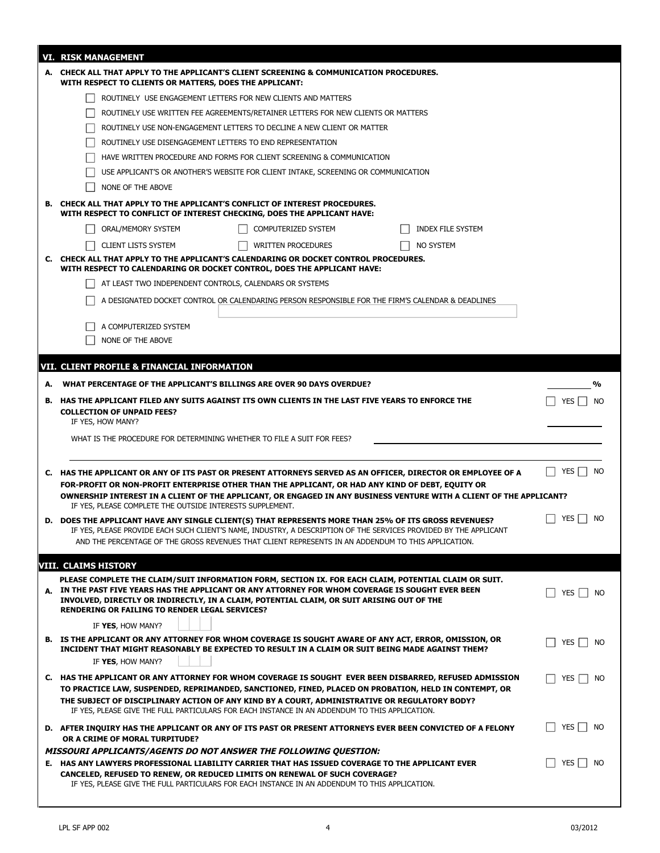|    | <b>VI. RISK MANAGEMENT</b>                                                                                                                                                                      |                    |
|----|-------------------------------------------------------------------------------------------------------------------------------------------------------------------------------------------------|--------------------|
|    | A. CHECK ALL THAT APPLY TO THE APPLICANT'S CLIENT SCREENING & COMMUNICATION PROCEDURES.<br>WITH RESPECT TO CLIENTS OR MATTERS, DOES THE APPLICANT:                                              |                    |
|    | ROUTINELY USE ENGAGEMENT LETTERS FOR NEW CLIENTS AND MATTERS                                                                                                                                    |                    |
|    | ROUTINELY USE WRITTEN FEE AGREEMENTS/RETAINER LETTERS FOR NEW CLIENTS OR MATTERS                                                                                                                |                    |
|    | ROUTINELY USE NON-ENGAGEMENT LETTERS TO DECLINE A NEW CLIENT OR MATTER                                                                                                                          |                    |
|    | ROUTINELY USE DISENGAGEMENT LETTERS TO END REPRESENTATION                                                                                                                                       |                    |
|    | HAVE WRITTEN PROCEDURE AND FORMS FOR CLIENT SCREENING & COMMUNICATION                                                                                                                           |                    |
|    | USE APPLICANT'S OR ANOTHER'S WEBSITE FOR CLIENT INTAKE, SCREENING OR COMMUNICATION                                                                                                              |                    |
|    | NONE OF THE ABOVE                                                                                                                                                                               |                    |
|    | <b>B. CHECK ALL THAT APPLY TO THE APPLICANT'S CONFLICT OF INTEREST PROCEDURES.</b><br>WITH RESPECT TO CONFLICT OF INTEREST CHECKING, DOES THE APPLICANT HAVE:                                   |                    |
|    | ORAL/MEMORY SYSTEM<br>COMPUTERIZED SYSTEM<br>INDEX FILE SYSTEM                                                                                                                                  |                    |
|    | <b>CLIENT LISTS SYSTEM</b><br>NO SYSTEM<br><b>WRITTEN PROCEDURES</b>                                                                                                                            |                    |
|    | C. CHECK ALL THAT APPLY TO THE APPLICANT'S CALENDARING OR DOCKET CONTROL PROCEDURES.<br>WITH RESPECT TO CALENDARING OR DOCKET CONTROL, DOES THE APPLICANT HAVE:                                 |                    |
|    | AT LEAST TWO INDEPENDENT CONTROLS, CALENDARS OR SYSTEMS                                                                                                                                         |                    |
|    | A DESIGNATED DOCKET CONTROL OR CALENDARING PERSON RESPONSIBLE FOR THE FIRM'S CALENDAR & DEADLINES                                                                                               |                    |
|    | A COMPUTERIZED SYSTEM                                                                                                                                                                           |                    |
|    | NONE OF THE ABOVE                                                                                                                                                                               |                    |
|    |                                                                                                                                                                                                 |                    |
|    | VII. CLIENT PROFILE & FINANCIAL INFORMATION                                                                                                                                                     |                    |
| А. | WHAT PERCENTAGE OF THE APPLICANT'S BILLINGS ARE OVER 90 DAYS OVERDUE?                                                                                                                           | %                  |
|    | B. HAS THE APPLICANT FILED ANY SUITS AGAINST ITS OWN CLIENTS IN THE LAST FIVE YEARS TO ENFORCE THE                                                                                              | YES  <br><b>NO</b> |
|    | <b>COLLECTION OF UNPAID FEES?</b><br>IF YES, HOW MANY?                                                                                                                                          |                    |
|    | WHAT IS THE PROCEDURE FOR DETERMINING WHETHER TO FILE A SUIT FOR FEES?                                                                                                                          |                    |
|    |                                                                                                                                                                                                 |                    |
|    |                                                                                                                                                                                                 |                    |
|    | C. HAS THE APPLICANT OR ANY OF ITS PAST OR PRESENT ATTORNEYS SERVED AS AN OFFICER, DIRECTOR OR EMPLOYEE OF A                                                                                    | YES  <br><b>NO</b> |
|    | FOR-PROFIT OR NON-PROFIT ENTERPRISE OTHER THAN THE APPLICANT, OR HAD ANY KIND OF DEBT, EQUITY OR                                                                                                |                    |
|    | OWNERSHIP INTEREST IN A CLIENT OF THE APPLICANT, OR ENGAGED IN ANY BUSINESS VENTURE WITH A CLIENT OF THE APPLICANT?<br>IF YES, PLEASE COMPLETE THE OUTSIDE INTERESTS SUPPLEMENT.                |                    |
|    | D. DOES THE APPLICANT HAVE ANY SINGLE CLIENT(S) THAT REPRESENTS MORE THAN 25% OF ITS GROSS REVENUES?                                                                                            | YES<br><b>NO</b>   |
|    | IF YES, PLEASE PROVIDE EACH SUCH CLIENT'S NAME, INDUSTRY, A DESCRIPTION OF THE SERVICES PROVIDED BY TI                                                                                          |                    |
|    | AND THE PERCENTAGE OF THE GROSS REVENUES THAT CLIENT REPRESENTS IN AN ADDENDUM TO THIS APPLICATION.                                                                                             |                    |
|    | VIII. CLAIMS HISTORY                                                                                                                                                                            |                    |
|    | PLEASE COMPLETE THE CLAIM/SUIT INFORMATION FORM, SECTION IX. FOR EACH CLAIM, POTENTIAL CLAIM OR SUIT.                                                                                           |                    |
|    | A. IN THE PAST FIVE YEARS HAS THE APPLICANT OR ANY ATTORNEY FOR WHOM COVERAGE IS SOUGHT EVER BEEN<br>INVOLVED, DIRECTLY OR INDIRECTLY, IN A CLAIM, POTENTIAL CLAIM, OR SUIT ARISING OUT OF THE  | YES<br>- NO        |
|    | <b>RENDERING OR FAILING TO RENDER LEGAL SERVICES?</b>                                                                                                                                           |                    |
|    | IF YES, HOW MANY?                                                                                                                                                                               |                    |
|    | B. IS THE APPLICANT OR ANY ATTORNEY FOR WHOM COVERAGE IS SOUGHT AWARE OF ANY ACT, ERROR, OMISSION, OR                                                                                           | YES     NO         |
|    | INCIDENT THAT MIGHT REASONABLY BE EXPECTED TO RESULT IN A CLAIM OR SUIT BEING MADE AGAINST THEM?<br>IF YES, HOW MANY?                                                                           |                    |
|    | C. HAS THE APPLICANT OR ANY ATTORNEY FOR WHOM COVERAGE IS SOUGHT EVER BEEN DISBARRED, REFUSED ADMISSION                                                                                         | YES     NO         |
|    | TO PRACTICE LAW, SUSPENDED, REPRIMANDED, SANCTIONED, FINED, PLACED ON PROBATION, HELD IN CONTEMPT, OR                                                                                           |                    |
|    | THE SUBJECT OF DISCIPLINARY ACTION OF ANY KIND BY A COURT, ADMINISTRATIVE OR REGULATORY BODY?<br>IF YES, PLEASE GIVE THE FULL PARTICULARS FOR EACH INSTANCE IN AN ADDENDUM TO THIS APPLICATION. |                    |
|    |                                                                                                                                                                                                 | YES $\Box$<br>NO   |
|    | D. AFTER INQUIRY HAS THE APPLICANT OR ANY OF ITS PAST OR PRESENT ATTORNEYS EVER BEEN CONVICTED OF A FELONY<br>OR A CRIME OF MORAL TURPITUDE?                                                    |                    |
|    | <b>MISSOURI APPLICANTS/AGENTS DO NOT ANSWER THE FOLLOWING QUESTION:</b>                                                                                                                         |                    |
|    | E. HAS ANY LAWYERS PROFESSIONAL LIABILITY CARRIER THAT HAS ISSUED COVERAGE TO THE APPLICANT EVER<br>CANCELED, REFUSED TO RENEW, OR REDUCED LIMITS ON RENEWAL OF SUCH COVERAGE?                  | YES     NO         |